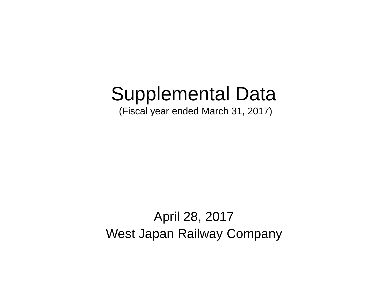# Supplemental Data

(Fiscal year ended March 31, 2017)

April 28, 2017 West Japan Railway Company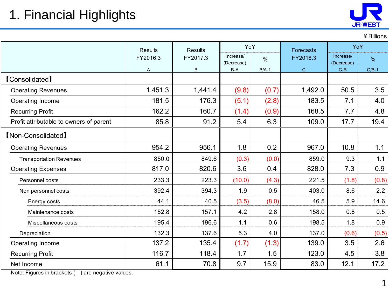## 1. Financial Highlights



¥Billions

|                                         |          | <b>Results</b><br><b>Results</b><br>Increase/<br>FY2017.3<br>(Decrease) |        | YoY           | <b>Forecasts</b> | YoY                     |         |
|-----------------------------------------|----------|-------------------------------------------------------------------------|--------|---------------|------------------|-------------------------|---------|
|                                         | FY2016.3 |                                                                         |        | $\frac{0}{0}$ | FY2018.3         | Increase/<br>(Decrease) | $\%$    |
|                                         | A        | B                                                                       | $B-A$  | $B/A-1$       | $\mathsf{C}$     | $C-B$                   | $C/B-1$ |
| <b>[Consolidated]</b>                   |          |                                                                         |        |               |                  |                         |         |
| <b>Operating Revenues</b>               | 1,451.3  | 1,441.4                                                                 | (9.8)  | (0.7)         | 1,492.0          | 50.5                    | 3.5     |
| Operating Income                        | 181.5    | 176.3                                                                   | (5.1)  | (2.8)         | 183.5            | 7.1                     | 4.0     |
| <b>Recurring Profit</b>                 | 162.2    | 160.7                                                                   | (1.4)  | (0.9)         | 168.5            | 7.7                     | 4.8     |
| Profit attributable to owners of parent | 85.8     | 91.2                                                                    | 5.4    | 6.3           | 109.0            | 17.7                    | 19.4    |
| [Non-Consolidated]                      |          |                                                                         |        |               |                  |                         |         |
| <b>Operating Revenues</b>               | 954.2    | 956.1                                                                   | 1.8    | 0.2           | 967.0            | 10.8                    | 1.1     |
| <b>Transportation Revenues</b>          | 850.0    | 849.6                                                                   | (0.3)  | (0.0)         | 859.0            | 9.3                     | 1.1     |
| <b>Operating Expenses</b>               | 817.0    | 820.6                                                                   | 3.6    | 0.4           | 828.0            | 7.3                     | 0.9     |
| Personnel costs                         | 233.3    | 223.3                                                                   | (10.0) | (4.3)         | 221.5            | (1.8)                   | (0.8)   |
| Non personnel costs                     | 392.4    | 394.3                                                                   | 1.9    | 0.5           | 403.0            | 8.6                     | 2.2     |
| Energy costs                            | 44.1     | 40.5                                                                    | (3.5)  | (8.0)         | 46.5             | 5.9                     | 14.6    |
| Maintenance costs                       | 152.8    | 157.1                                                                   | 4.2    | 2.8           | 158.0            | 0.8                     | 0.5     |
| Miscellaneous costs                     | 195.4    | 196.6                                                                   | 1.1    | 0.6           | 198.5            | 1.8                     | 0.9     |
| Depreciation                            | 132.3    | 137.6                                                                   | 5.3    | 4.0           | 137.0            | (0.6)                   | (0.5)   |
| Operating Income                        | 137.2    | 135.4                                                                   | (1.7)  | (1.3)         | 139.0            | 3.5                     | 2.6     |
| <b>Recurring Profit</b>                 | 116.7    | 118.4                                                                   | 1.7    | 1.5           | 123.0            | 4.5                     | 3.8     |
| Net Income<br>$-$                       | 61.1     | 70.8                                                                    | 9.7    | 15.9          | 83.0             | 12.1                    | 17.2    |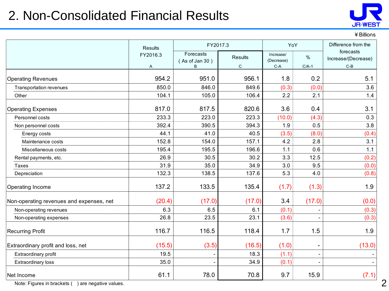### 2. Non-Consolidated Financial Results



#### ¥Billions

|                                          | <b>Results</b> | FY2017.3                    | YoY            |                         | Difference from the      |                                  |
|------------------------------------------|----------------|-----------------------------|----------------|-------------------------|--------------------------|----------------------------------|
|                                          | FY2016.3       | Forecasts<br>(As of Jan 30) | <b>Results</b> | Increase/<br>(Decrease) | $\%$                     | forecasts<br>Increase/(Decrease) |
|                                          | A              | B                           | С              | $C-A$                   | $C/A-1$                  | $C-B$                            |
| <b>Operating Revenues</b>                | 954.2          | 951.0                       | 956.1          | 1.8                     | 0.2                      | 5.1                              |
| Transportation revenues                  | 850.0          | 846.0                       | 849.6          | (0.3)                   | (0.0)                    | 3.6                              |
| Other                                    | 104.1          | 105.0                       | 106.4          | 2.2                     | 2.1                      | 1.4                              |
| <b>Operating Expenses</b>                | 817.0          | 817.5                       | 820.6          | 3.6                     | 0.4                      | 3.1                              |
| Personnel costs                          | 233.3          | 223.0                       | 223.3          | (10.0)                  | (4.3)                    | 0.3                              |
| Non personnel costs                      | 392.4          | 390.5                       | 394.3          | 1.9                     | 0.5                      | 3.8                              |
| Energy costs                             | 44.1           | 41.0                        | 40.5           | (3.5)                   | (8.0)                    | (0.4)                            |
| Maintenance costs                        | 152.8          | 154.0                       | 157.1          | 4.2                     | 2.8                      | 3.1                              |
| Miscellaneous costs                      | 195.4          | 195.5                       | 196.6          | 1.1                     | 0.6                      | 1.1                              |
| Rental payments, etc.                    | 26.9           | 30.5                        | 30.2           | 3.3                     | 12.5                     | (0.2)                            |
| Taxes                                    | 31.9           | 35.0                        | 34.9           | 3.0                     | 9.5                      | (0.0)                            |
| Depreciation                             | 132.3          | 138.5                       | 137.6          | 5.3                     | 4.0                      | (0.8)                            |
| Operating Income                         | 137.2          | 133.5                       | 135.4          | (1.7)                   | (1.3)                    | 1.9                              |
| Non-operating revenues and expenses, net | (20.4)         | (17.0)                      | (17.0)         | 3.4                     | (17.0)                   | (0.0)                            |
| Non-operating revenues                   | 6.3            | 6.5                         | 6.1            | (0.1)                   |                          | (0.3)                            |
| Non-operating expenses                   | 26.8           | 23.5                        | 23.1           | (3.6)                   |                          | (0.3)                            |
| <b>Recurring Profit</b>                  | 116.7          | 116.5                       | 118.4          | 1.7                     | 1.5                      | 1.9                              |
| Extraordinary profit and loss, net       | (15.5)         | (3.5)                       | (16.5)         | (1.0)                   |                          | (13.0)                           |
| Extraordinary profit                     | 19.5           |                             | 18.3           | (1.1)                   | $\overline{\phantom{a}}$ |                                  |
| <b>Extraordinary loss</b>                | 35.0           |                             | 34.9           | (0.1)                   |                          |                                  |
| Net Income                               | 61.1           | 78.0                        | 70.8           | 9.7                     | 15.9                     | (7.1)                            |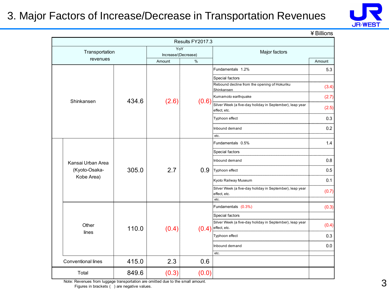### 3. Major Factors of Increase/Decrease in Transportation Revenues



¥Billions

|                             |       |                               | Results FY2017.3 |                                                                                                                                                                                  |                         |  |  |  |  |  |                                                                                  |       |                      |     |
|-----------------------------|-------|-------------------------------|------------------|----------------------------------------------------------------------------------------------------------------------------------------------------------------------------------|-------------------------|--|--|--|--|--|----------------------------------------------------------------------------------|-------|----------------------|-----|
| Transportation              |       | YoY                           |                  | Major factors                                                                                                                                                                    |                         |  |  |  |  |  |                                                                                  |       |                      |     |
| revenues                    |       | Increase/(Decrease)<br>Amount | %                |                                                                                                                                                                                  | Amount                  |  |  |  |  |  |                                                                                  |       |                      |     |
|                             |       |                               |                  | Fundamentals 1.2%                                                                                                                                                                | 5.3                     |  |  |  |  |  |                                                                                  |       |                      |     |
| Shinkansen                  | 434.6 | (2.6)                         | (0.6)            | Special factors<br>Rebound decline from the opening of Hokuriku<br>Shinkansen<br>Kumamoto earthquake<br>Silver Week (a five-day holiday in September), leap year<br>effect, etc. | (3.4)<br>(2.7)<br>(2.5) |  |  |  |  |  |                                                                                  |       |                      |     |
|                             |       |                               |                  | Typhoon effect                                                                                                                                                                   | 0.3                     |  |  |  |  |  |                                                                                  |       |                      |     |
|                             |       |                               |                  | Inbound demand<br>etc.                                                                                                                                                           | 0.2                     |  |  |  |  |  |                                                                                  |       |                      |     |
|                             |       |                               |                  | Fundamentals 0.5%                                                                                                                                                                | 1.4                     |  |  |  |  |  |                                                                                  |       |                      |     |
|                             |       |                               |                  | Special factors                                                                                                                                                                  |                         |  |  |  |  |  |                                                                                  |       |                      |     |
| Kansai Urban Area           |       |                               |                  | Inbound demand                                                                                                                                                                   | 0.8                     |  |  |  |  |  |                                                                                  |       |                      |     |
| (Kyoto-Osaka-<br>Kobe Area) | 305.0 |                               |                  |                                                                                                                                                                                  | 2.7                     |  |  |  |  |  |                                                                                  | 0.9   | Typhoon effect       | 0.5 |
|                             |       |                               |                  |                                                                                                                                                                                  |                         |  |  |  |  |  |                                                                                  |       | Kyoto Railway Museum | 0.1 |
|                             |       |                               |                  |                                                                                                                                                                                  |                         |  |  |  |  |  | Silver Week (a five-day holiday in September), leap year<br>effect, etc.<br>etc. | (0.7) |                      |     |
|                             |       |                               |                  | Fundamentals (0.3%)                                                                                                                                                              | (0.3)                   |  |  |  |  |  |                                                                                  |       |                      |     |
|                             |       |                               |                  | Special factors                                                                                                                                                                  |                         |  |  |  |  |  |                                                                                  |       |                      |     |
| Other                       | 110.0 | (0.4)                         | (0.4)            | Silver Week (a five-day holiday in September), leap year<br>effect, etc.                                                                                                         | (0.4)                   |  |  |  |  |  |                                                                                  |       |                      |     |
| lines                       |       |                               |                  | Typhoon effect                                                                                                                                                                   | 0.3                     |  |  |  |  |  |                                                                                  |       |                      |     |
|                             |       |                               |                  | Inbound demand<br>etc.                                                                                                                                                           | 0.0                     |  |  |  |  |  |                                                                                  |       |                      |     |
| Conventional lines          | 415.0 | 2.3                           | 0.6              |                                                                                                                                                                                  |                         |  |  |  |  |  |                                                                                  |       |                      |     |
| Total                       | 849.6 |                               |                  |                                                                                                                                                                                  |                         |  |  |  |  |  |                                                                                  |       |                      |     |
|                             |       | (0.3)                         | (0.0)            |                                                                                                                                                                                  |                         |  |  |  |  |  |                                                                                  |       |                      |     |

Note: Revenues from luggage transportation are omitted due to the small amount. Figures in brackets ( ) are negative values.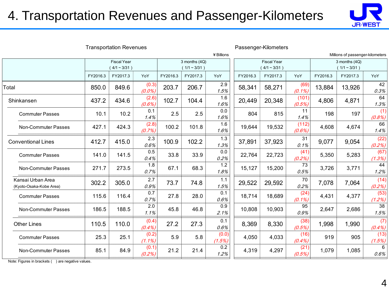### 4. Transportation Revenues and Passenger-Kilometers



|                                              |          |                                      |                    |          |                             |                          |          |                                      |                   |          |                                    | <b>JR-WEST</b>   |
|----------------------------------------------|----------|--------------------------------------|--------------------|----------|-----------------------------|--------------------------|----------|--------------------------------------|-------------------|----------|------------------------------------|------------------|
|                                              |          | <b>Transportation Revenues</b>       |                    |          |                             | ¥ Billions               |          | Passenger-Kilometers                 |                   |          | Millions of passenger-kilometers   |                  |
|                                              |          | <b>Fiscal Year</b><br>$(4/1 - 3/31)$ |                    |          | 3 months (4Q)<br>(1/1~3/31) |                          |          | <b>Fiscal Year</b><br>$4/1 - 3/31$ ) |                   |          | 3 months (4Q)<br>$(1/1 \sim 3/31)$ |                  |
|                                              | FY2016.3 | FY2017.3                             | YoY                | FY2016.3 | FY2017.3                    | YoY                      | FY2016.3 | FY2017.3                             | YoY               | FY2016.3 | FY2017.3                           | YoY              |
| Total                                        | 850.0    | 849.6                                | (0.3)<br>$(0.0\%)$ | 203.7    | 206.7                       | $\overline{2.9}$<br>1.5% | 58,341   | 58,271                               | (69)<br>$(0.1\%)$ | 13,884   | 13,926                             | 42<br>0.3%       |
| Shinkansen                                   | 437.2    | 434.6                                | (2.6)<br>(0.6%)    | 102.7    | 104.4                       | 1.6<br>1.6%              | 20,449   | 20,348                               | (101)<br>(0.5%)   | 4,806    | 4,871                              | 64<br>1.3%       |
| <b>Commuter Passes</b>                       | 10.1     | 10.2                                 | 0.1<br>1.4%        | 2.5      | 2.5                         | 0.0<br>1.6%              | 804      | 815                                  | 11<br>1.4%        | 198      | 197                                | (1)<br>(0.8%)    |
| Non-Commuter Passes                          | 427.1    | 424.3                                | (2.8)<br>(0.7%)    | 100.2    | 101.8                       | 1.6<br>1.6%              | 19,644   | 19,532                               | (112)<br>(0.6%)   | 4,608    | 4,674                              | 66<br>1.4%       |
| <b>Conventional Lines</b>                    | 412.7    | 415.0                                | 2.3<br>0.6%        | 100.9    | 102.2                       | 1.3<br>1.3%              | 37,891   | 37,923                               | 31<br>0.1%        | 9,077    | 9,054                              | (22)<br>(0.2%)   |
| <b>Commuter Passes</b>                       | 141.0    | 141.5                                | 0.5<br>0.4%        | 33.8     | 33.9                        | 0.0<br>0.2%              | 22,764   | 22,723                               | (41)<br>(0.2%)    | 5,350    | 5,283                              | (67)<br>(1.3%)   |
| Non-Commuter Passes                          | 271.7    | 273.5                                | 1.8<br>0.7%        | 67.1     | 68.3                        | 1.2<br>1.8%              | 15,127   | 15,200                               | 73<br>0.5%        | 3,726    | 3,771                              | 44<br>1.2%       |
| Kansai Urban Area<br>(Kyoto-Osaka-Kobe Area) | 302.2    | 305.0                                | 2.7<br>0.9%        | 73.7     | 74.8                        | $1.1$<br>1.5%            | 29,522   | 29,592                               | 70<br>0.2%        | 7,078    | 7,064                              | (14)<br>(0.2%)   |
| <b>Commuter Passes</b>                       | 115.6    | 116.4                                | 0.7<br>0.7%        | 27.8     | 28.0                        | 0.1<br>0.6%              | 18,714   | 18,689                               | (24)<br>$(0.1\%)$ | 4,431    | 4,377                              | (53)<br>(1.2%)   |
| Non-Commuter Passes                          | 186.5    | 188.5                                | 2.0<br>1.1%        | 45.8     | 46.8                        | 0.9<br>2.1%              | 10,808   | 10,903                               | 95<br>0.9%        | 2,647    | 2,686                              | 38<br>1.5%       |
| <b>Other Lines</b>                           | 110.5    | 110.0                                | (0.4)<br>$(0.4\%)$ | 27.2     | 27.3                        | 0.1<br>0.6%              | 8,369    | 8,330                                | (38)<br>(0.5%)    | 1,998    | 1,990                              | (7)<br>$(0.4\%)$ |
| <b>Commuter Passes</b>                       | 25.3     | 25.1                                 | (0.2)<br>$(1.1\%)$ | 5.9      | 5.8                         | (0.0)<br>(1.5%)          | 4,050    | 4,033                                | (16)<br>(0.4%     | 919      | 905                                | (13)<br>(1.5%)   |
| Non-Commuter Passes                          | 85.1     | 84.9                                 | (0.1)<br>(0.2%)    | 21.2     | 21.4                        | 0.2<br>1.2%              | 4,319    | 4,297                                | (21)<br>(0.5%)    | 1,079    | 1,085                              | 6<br>0.6%        |
|                                              |          |                                      |                    |          |                             |                          |          |                                      |                   |          |                                    |                  |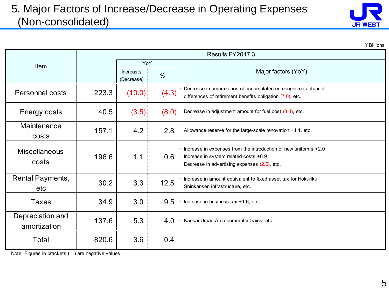### 5. Major Factors of Increase/Decrease in Operating Expenses (Non-consolidated)



|                                  |       |                         |       |                                                                                                                                                          | ¥ Billions |
|----------------------------------|-------|-------------------------|-------|----------------------------------------------------------------------------------------------------------------------------------------------------------|------------|
|                                  |       |                         |       | Results FY2017.3                                                                                                                                         |            |
| Item                             |       | YoY                     |       |                                                                                                                                                          |            |
|                                  |       | Increase/<br>(Decrease) | $\%$  | Major factors (YoY)                                                                                                                                      |            |
| Personnel costs                  | 223.3 | (10.0)                  | (4.3) | Decrease in amortization of accumulated unrecognized actuarial<br>differences of retirement benefits obligation $(7.0)$ , etc.                           |            |
| Energy costs                     | 40.5  | (3.5)                   | (8.0) | Decrease in adjustment amount for fuel cost $(3.4)$ , etc.                                                                                               |            |
| Maintenance<br>costs             | 157.1 | 4.2                     | 2.8   | Allowance reserve for the large-scale renovation +4.1, etc.                                                                                              |            |
| <b>Miscellaneous</b><br>costs    | 196.6 | 1.1                     | 0.6   | Increase in expenses from the introduction of new uniforms +2.0<br>Increase in system related costs +0.9<br>Decrease in advertising expenses (2.5), etc. |            |
| Rental Payments,<br>etc          | 30.2  | 3.3                     | 12.5  | Increase in amount equivalent to fixed asset tax for Hokuriku<br>Shinkansen infrastructure, etc.                                                         |            |
| <b>Taxes</b>                     | 34.9  | 3.0                     | 9.5   | Increase in business tax +1.6, etc.                                                                                                                      |            |
| Depreciation and<br>amortization | 137.6 | 5.3                     | 4.0   | Kansai Urban Area commuter trains, etc.                                                                                                                  |            |
| Total                            | 820.6 | 3.6                     | 0.4   |                                                                                                                                                          |            |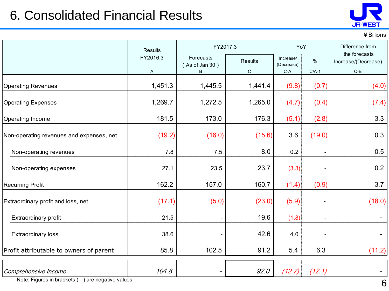### 6. Consolidated Financial Results



¥Billions

|                                          | Results       | FY2017.3                         |                        |                                                           | YoY             | Difference from                               |  |
|------------------------------------------|---------------|----------------------------------|------------------------|-----------------------------------------------------------|-----------------|-----------------------------------------------|--|
|                                          | FY2016.3<br>A | Forecasts<br>(As of Jan 30)<br>B | Results<br>$\mathsf C$ | Increase/<br>(Decrease)<br>$\mathsf{C}\text{-}\mathsf{A}$ | $\%$<br>$C/A-1$ | the forecasts<br>Increase/(Decrease)<br>$C-B$ |  |
| <b>Operating Revenues</b>                | 1,451.3       | 1,445.5                          | 1,441.4                | (9.8)                                                     | (0.7)           | (4.0)                                         |  |
| <b>Operating Expenses</b>                | 1,269.7       | 1,272.5                          | 1,265.0                | (4.7)                                                     | (0.4)           | (7.4)                                         |  |
| <b>Operating Income</b>                  | 181.5         | 173.0                            | 176.3                  | (5.1)                                                     | (2.8)           | 3.3                                           |  |
| Non-operating revenues and expenses, net | (19.2)        | (16.0)                           | (15.6)                 | 3.6                                                       | (19.0)          | 0.3                                           |  |
| Non-operating revenues                   | 7.8           | 7.5                              | 8.0                    | 0.2                                                       |                 | 0.5                                           |  |
| Non-operating expenses                   | 27.1          | 23.5                             | 23.7                   | (3.3)                                                     |                 | 0.2                                           |  |
| <b>Recurring Profit</b>                  | 162.2         | 157.0                            | 160.7                  | (1.4)                                                     | (0.9)           | 3.7                                           |  |
| Extraordinary profit and loss, net       | (17.1)        | (5.0)                            | (23.0)                 | (5.9)                                                     |                 | (18.0)                                        |  |
| Extraordinary profit                     | 21.5          | $\overline{\phantom{a}}$         | 19.6                   | (1.8)                                                     |                 | $\blacksquare$                                |  |
| Extraordinary loss                       | 38.6          |                                  | 42.6                   | 4.0                                                       |                 | $\blacksquare$                                |  |
| Profit attributable to owners of parent  | 85.8          | 102.5                            | 91.2                   | 5.4                                                       | 6.3             | (11.2)                                        |  |
| Comprehensive Income                     | 104.8         | ۰                                | 92.0                   | (12.7)                                                    | (12.1)          |                                               |  |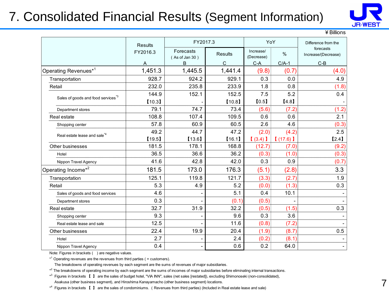### 7. Consolidated Financial Results (Segment Information)



¥Billions

|                                               | Results  | FY2017.3                       |                |                         | YoY     | Difference from the              |
|-----------------------------------------------|----------|--------------------------------|----------------|-------------------------|---------|----------------------------------|
|                                               | FY2016.3 | Forecasts<br>$($ As of Jan 30) | <b>Results</b> | Increase/<br>(Decrease) | $\%$    | forecasts<br>Increase/(Decrease) |
|                                               | Α        | В                              | C              | $C-A$                   | $C/A-1$ | $C-B$                            |
| Operating Revenues*1                          | 1,451.3  | 1,445.5                        | 1,441.4        | (9.8)                   | (0.7)   | (4.0)                            |
| Transportation                                | 928.7    | 924.2                          | 929.1          | 0.3                     | 0.0     | 4.9                              |
| Retail                                        | 232.0    | 235.8                          | 233.9          | 1.8                     | 0.8     | (1.8)                            |
|                                               | 144.9    | 152.1                          | 152.5          | 7.5                     | 5.2     | 0.4                              |
| Sales of goods and food services <sup>3</sup> | [10.3]   |                                | [10.8]         | [0.5]                   | [4.8]   |                                  |
| Department stores                             | 79.1     | 74.7                           | 73.4           | (5.6)                   | (7.2)   | (1.2)                            |
| Real estate                                   | 108.8    | 107.4                          | 109.5          | 0.6                     | 0.6     | 2.1                              |
| Shopping center                               | 57.8     | 60.9                           | 60.5           | 2.6                     | 4.6     | (0.3)                            |
| Real estate lease and sale <sup>*4</sup>      | 49.2     | 44.7                           | 47.2           | (2.0)                   | (4.2)   | 2.5                              |
|                                               | [19.5]   | [13.6]                         | [16.1]         | $(3.4)$ $\bf{l}$        | (17.6)  | [2.4]                            |
| Other businesses                              | 181.5    | 178.1                          | 168.8          | (12.7)                  | (7.0)   | (9.2)                            |
| Hotel                                         | 36.5     | 36.6                           | 36.2           | (0.3)                   | (1.0)   | (0.3)                            |
| Nippon Travel Agency                          | 41.6     | 42.8                           | 42.0           | 0.3                     | 0.9     | (0.7)                            |
| Operating Income* <sup>2</sup>                | 181.5    | 173.0                          | 176.3          | (5.1)                   | (2.8)   | 3.3                              |
| Transportation                                | 125.1    | 119.8                          | 121.7          | (3.3)                   | (2.7)   | 1.9                              |
| Retail                                        | 5.3      | 4.9                            | 5.2            | (0.0)                   | (1.3)   | 0.3                              |
| Sales of goods and food services              | 4.6      |                                | 5.1            | 0.4                     | 10.1    |                                  |
| Department stores                             | 0.3      |                                | (0.1)          | (0.5)                   |         |                                  |
| Real estate                                   | 32.7     | 31.9                           | 32.2           | (0.5)                   | (1.5)   | 0.3                              |
| Shopping center                               | 9.3      |                                | 9.6            | 0.3                     | 3.6     |                                  |
| Real estate lease and sale                    | 12.5     |                                | 11.6           | (0.8)                   | (7.2)   |                                  |
| Other businesses                              | 22.4     | 19.9                           | 20.4           | (1.9)                   | (8.7)   | 0.5                              |
| Hotel                                         | 2.7      |                                | 2.4            | (0.2)                   | (8.1)   |                                  |
| Nippon Travel Agency                          | 0.4      | -                              | 0.6            | 0.2                     | 64.0    | $\overline{\phantom{0}}$         |

Note: Figures in brackets () are negative values.

 $*$ <sup>1</sup> Operating revenues are the revenues from third parties ( = customers).

The breakdowns of operating revenues by each segment are the sums of revenues of major subsidiaries.

\*<sup>2</sup> The breakdowns of operating income by each segment are the sums of incomes of major subsidiaries before eliminating internal transactions.

\*<sup>3</sup> Figures in brackets 【 】 are the sales of budget hotel, "VIA INN", sales (net sales [restated]), excluding Shimonoseki (non-consolidated),

Asakusa (other business segment), and Hiroshima Kanayamacho (other business segment) locations.

\* 4 Figures in brackets 【 】 are the sales of condominiums. (Revenues from third parties) (Included in Real estate lease and sale)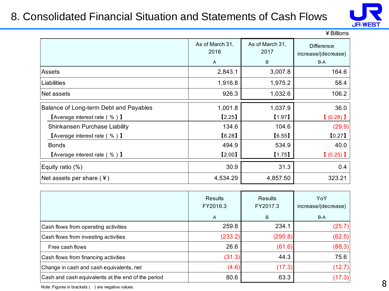### 8. Consolidated Financial Situation and Statements of Cash Flows



| ¥ Billions |  |
|------------|--|
|------------|--|

|                                                           | As of March 31,<br>2016<br>A | As of March 31,<br>2017<br>B | <b>Difference</b><br>increase/(decrease)<br>B-A |
|-----------------------------------------------------------|------------------------------|------------------------------|-------------------------------------------------|
| <b>Assets</b>                                             | 2,843.1                      | 3,007.8                      | 164.6                                           |
| Liabilities                                               | 1,916.8                      | 1,975.2                      | 58.4                                            |
| Net assets                                                | 926.3                        | 1,032.6                      | 106.2                                           |
| Balance of Long-term Debt and Payables                    | 1,001.8                      | 1,037.9                      | 36.0                                            |
| <b>[Average interest rate (%)</b> ]                       | [2.25]                       | [1.97]                       | $(0.28)$ ]                                      |
| Shinkansen Purchase Liability                             | 134.6                        | 104.6                        | (29.9)                                          |
| <b>[Average interest rate (%)</b> $\blacksquare$          | [6.28]                       | [6.55]                       | [0.27]                                          |
| <b>Bonds</b>                                              | 494.9                        | 534.9                        | 40.0                                            |
| $\blacksquare$ Average interest rate ( % ) $\blacksquare$ | [2.00]                       | [1.75]                       | $(0.25)$ 1                                      |
| Equity ratio (%)                                          | 30.9                         | 31.3                         | 0.4                                             |
| Net assets per share $(*)$                                | 4,534.29                     | 4,857.50                     | 323.21                                          |

|                                                    | Results<br>FY2016.3 | Results<br>FY2017.3 | YoY<br>increase/(decrease) |
|----------------------------------------------------|---------------------|---------------------|----------------------------|
|                                                    | A                   | B                   | B-A                        |
| Cash flows from operating activities               | 259.8               | 234.1               | (25.7)                     |
| Cash flows from investing activities               | (233.2)             | (295.8)             | (62.5)                     |
| Free cash flows                                    | 26.6                | (61.6)              | (88.3)                     |
| Cash flows from financing activities               | (31.3)              | 44.3                | 75.6                       |
| Change in cash and cash equivalents, net           | (4.6)               | (17.3)              | (12.7)                     |
| Cash and cash equivalents at the end of the period | 80.6                | 63.3                | (17.3)                     |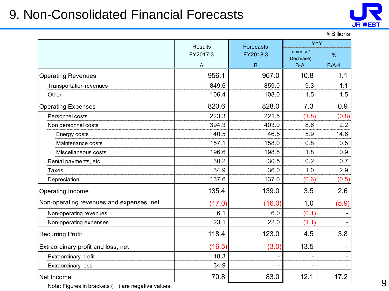### 9. Non-Consolidated Financial Forecasts



|                                          | <b>Results</b><br><b>Forecasts</b> |          | YoY                 |         |  |
|------------------------------------------|------------------------------------|----------|---------------------|---------|--|
|                                          | FY2017.3                           | FY2018.3 | Increase/           | $\%$    |  |
|                                          | A                                  | B        | (Decrease)<br>$B-A$ | $B/A-1$ |  |
| <b>Operating Revenues</b>                | 956.1                              | 967.0    | 10.8                | 1.1     |  |
| Transportation revenues                  | 849.6                              | 859.0    | 9.3                 | 1.1     |  |
| Other                                    | 106.4                              | 108.0    | 1.5                 | 1.5     |  |
| <b>Operating Expenses</b>                | 820.6                              | 828.0    | 7.3                 | 0.9     |  |
| Personnel costs                          | 223.3                              | 221.5    | (1.8)               | (0.8)   |  |
| Non personnel costs                      | 394.3                              | 403.0    | 8.6                 | 2.2     |  |
| Energy costs                             | 40.5                               | 46.5     | 5.9                 | 14.6    |  |
| Maintenance costs                        | 157.1                              | 158.0    | 0.8                 | 0.5     |  |
| Miscellaneous costs                      | 196.6                              | 198.5    | 1.8                 | 0.9     |  |
| Rental payments, etc.                    | 30.2                               | 30.5     | 0.2                 | 0.7     |  |
| <b>Taxes</b>                             | 34.9                               | 36.0     | 1.0                 | 2.9     |  |
| Depreciation                             | 137.6                              | 137.0    | (0.6)               | (0.5)   |  |
| Operating Income                         | 135.4                              | 139.0    | 3.5                 | 2.6     |  |
| Non-operating revenues and expenses, net | (17.0)                             | (16.0)   | 1.0                 | (5.9)   |  |
| Non-operating revenues                   | 6.1                                | 6.0      | (0.1)               |         |  |
| Non-operating expenses                   | 23.1                               | 22.0     | (1.1)               |         |  |
| <b>Recurring Profit</b>                  | 118.4                              | 123.0    | 4.5                 | 3.8     |  |
| Extraordinary profit and loss, net       | (16.5)                             | (3.0)    | 13.5                |         |  |
| Extraordinary profit                     | 18.3                               |          |                     |         |  |
| <b>Extraordinary loss</b>                | 34.9                               |          |                     |         |  |
| Net Income                               | 70.8                               | 83.0     | 12.1                | 17.2    |  |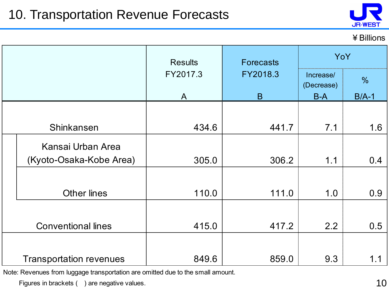

#### ¥Billions

|  |                                | <b>Results</b> | <b>Forecasts</b> | YoY                     |               |
|--|--------------------------------|----------------|------------------|-------------------------|---------------|
|  |                                | FY2017.3       | FY2018.3         | Increase/<br>(Decrease) | $\frac{0}{0}$ |
|  |                                |                | B                | <b>B-A</b>              | $B/A-1$       |
|  |                                |                |                  |                         |               |
|  | Shinkansen                     | 434.6          | 441.7            | 7.1                     | 1.6           |
|  | Kansai Urban Area              |                |                  |                         |               |
|  | (Kyoto-Osaka-Kobe Area)        | 305.0          | 306.2            | 1.1                     | 0.4           |
|  | <b>Other lines</b>             | 110.0          | 111.0            | 1.0                     | 0.9           |
|  | <b>Conventional lines</b>      | 415.0          | 417.2            | 2.2                     | 0.5           |
|  | <b>Transportation revenues</b> | 849.6          | 859.0            | 9.3                     | 1.1           |

Note: Revenues from luggage transportation are omitted due to the small amount.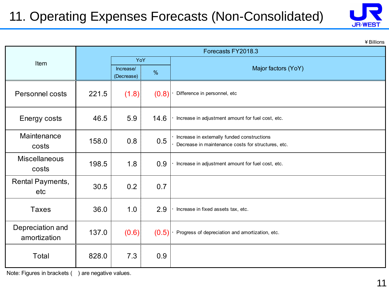## 11. Operating Expenses Forecasts (Non-Consolidated)



¥Billions

|                                  | Forecasts FY2018.3 |                         |       |                                                                                                   |  |
|----------------------------------|--------------------|-------------------------|-------|---------------------------------------------------------------------------------------------------|--|
| Item                             |                    | YoY                     |       |                                                                                                   |  |
|                                  |                    | Increase/<br>(Decrease) | $\%$  | Major factors (YoY)                                                                               |  |
| Personnel costs                  | 221.5              | (1.8)                   | (0.8) | Difference in personnel, etc                                                                      |  |
| Energy costs                     | 46.5               | 5.9                     | 14.6  | Increase in adjustment amount for fuel cost, etc.                                                 |  |
| Maintenance<br>costs             | 158.0              | 0.8                     | 0.5   | Increase in externally funded constructions<br>Decrease in maintenance costs for structures, etc. |  |
| <b>Miscellaneous</b><br>costs    | 198.5              | 1.8                     | 0.9   | Increase in adjustment amount for fuel cost, etc.                                                 |  |
| Rental Payments,<br>etc          | 30.5               | 0.2                     | 0.7   |                                                                                                   |  |
| <b>Taxes</b>                     | 36.0               | 1.0                     | 2.9   | Increase in fixed assets tax, etc.                                                                |  |
| Depreciation and<br>amortization | 137.0              | (0.6)                   | (0.5) | Progress of depreciation and amortization, etc.                                                   |  |
| Total                            | 828.0              | 7.3                     | 0.9   |                                                                                                   |  |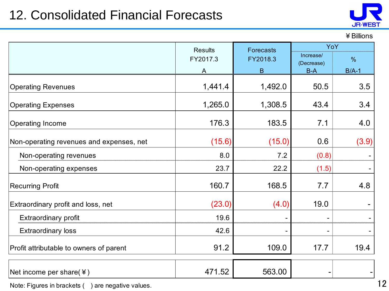### 12. Consolidated Financial Forecasts



#### ¥Billions

|                                          | <b>Results</b> | Forecasts      | YoY                 |               |
|------------------------------------------|----------------|----------------|---------------------|---------------|
|                                          | FY2017.3       | FY2018.3       | Increase/           | $\frac{9}{6}$ |
|                                          | A              | B              | (Decrease)<br>$B-A$ | $B/A-1$       |
| <b>Operating Revenues</b>                | 1,441.4        | 1,492.0        | 50.5                | 3.5           |
| <b>Operating Expenses</b>                | 1,265.0        | 1,308.5        | 43.4                | 3.4           |
| Operating Income                         | 176.3          | 183.5          | 7.1                 | 4.0           |
| Non-operating revenues and expenses, net | (15.6)         | (15.0)         | 0.6                 | (3.9)         |
| Non-operating revenues                   | 8.0            | 7.2            | (0.8)               |               |
| Non-operating expenses                   | 23.7           | 22.2           | (1.5)               |               |
| <b>Recurring Profit</b>                  | 160.7          | 168.5          | 7.7                 | 4.8           |
| Extraordinary profit and loss, net       | (23.0)         | (4.0)          | 19.0                |               |
| <b>Extraordinary profit</b>              | 19.6           |                |                     |               |
| <b>Extraordinary loss</b>                | 42.6           | $\overline{a}$ |                     |               |
| Profit attributable to owners of parent  | 91.2           | 109.0          | 17.7                | 19.4          |
|                                          |                |                |                     |               |

Net income per share(¥)  $\begin{array}{|c|c|c|c|c|c|c|c|} \hline \text{Net income per share(¥) } & & & \text{471.52} & & \text{563.00} \hline \end{array}$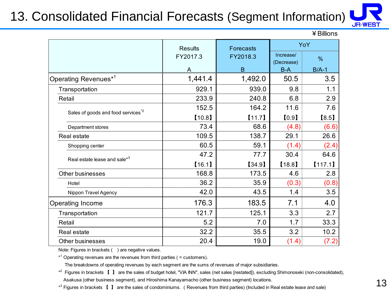### 13. Consolidated Financial Forecasts (Segment Information)



¥Billions

|                                               | <b>Results</b> | Forecasts | YoY                     |               |
|-----------------------------------------------|----------------|-----------|-------------------------|---------------|
|                                               | FY2017.3       | FY2018.3  | Increase/<br>(Decrease) | $\frac{9}{6}$ |
|                                               | A              | B         | B-A                     | $B/A-1$       |
| Operating Revenues <sup>*1</sup>              | 1,441.4        | 1,492.0   | 50.5                    | 3.5           |
| Transportation                                | 929.1          | 939.0     | 9.8                     | 1.1           |
| Retail                                        | 233.9          | 240.8     | 6.8                     | 2.9           |
|                                               | 152.5          | 164.2     | 11.6                    | 7.6           |
| Sales of goods and food services <sup>2</sup> | [10.8]         | $[11.7]$  | [0.9]                   | [8.5]         |
| Department stores                             | 73.4           | 68.6      | (4.8)                   | (6.6)         |
| Real estate                                   | 109.5          | 138.7     | 29.1                    | 26.6          |
| Shopping center                               | 60.5           | 59.1      | (1.4)                   | (2.4)         |
| Real estate lease and sale* <sup>3</sup>      | 47.2           | 77.7      | 30.4                    | 64.6          |
|                                               | [16.1]         | [34.9]    | [18.8]                  | [117.1]       |
| Other businesses                              | 168.8          | 173.5     | 4.6                     | 2.8           |
| Hotel                                         | 36.2           | 35.9      | (0.3)                   | (0.8)         |
| Nippon Travel Agency                          | 42.0           | 43.5      | 1.4                     | 3.5           |
| Operating Income                              | 176.3          | 183.5     | 7.1                     | 4.0           |
| Transportation                                | 121.7          | 125.1     | 3.3                     | 2.7           |
| Retail                                        | 5.2            | 7.0       | 1.7                     | 33.3          |
| Real estate                                   | 32.2           | 35.5      | 3.2                     | 10.2          |
| <b>Other businesses</b>                       | 20.4           | 19.0      | (1.4)                   | (7.2)         |

Note: Figures in brackets ( ) are negative values.

\*<sup>1</sup> Operating revenues are the revenues from third parties ( = customers).

The breakdowns of operating revenues by each segment are the sums of revenues of major subsidiaries.

\*<sup>2</sup> Figures in brackets 【 】 are the sales of budget hotel, "VIA INN", sales (net sales [restated]), excluding Shimonoseki (non-consolidated),

Asakusa (other business segment), and Hiroshima Kanayamacho (other business segment) locations.

\* 3 Figures in brackets 【 】 are the sales of condominiums. (Revenues from third parties) (Included in Real estate lease and sale)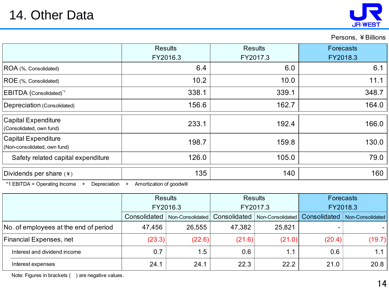

Persons, ¥Billions

|                                                     | <b>Results</b><br>FY2016.3 | <b>Results</b><br>FY2017.3 | <b>Forecasts</b><br>FY2018.3 |
|-----------------------------------------------------|----------------------------|----------------------------|------------------------------|
| ROA (%, Consolidated)                               | 6.4                        | 6.0                        | 6.1                          |
| ROE (%, Consolidated)                               | 10.2                       | 10.0                       | 11.1                         |
| <b>EBITDA</b> (Consolidated) <sup>*1</sup>          | 338.1                      | 339.1                      | 348.7                        |
| Depreciation (Consolidated)                         | 156.6                      | 162.7                      | 164.0                        |
| Capital Expenditure<br>(Consolidated, own fund)     | 233.1                      | 192.4                      | 166.0                        |
| Capital Expenditure<br>(Non-consolidated, own fund) | 198.7                      | 159.8                      | 130.0                        |
| Safety related capital expenditure                  | 126.0                      | 105.0                      | 79.0                         |
| Dividends per share $(*)$                           | 135                        | 140                        | 160                          |

\*1 EBITDA = Operating Income + Depreciation + Amortization of goodwill

|                                       | <b>Results</b><br>FY2016.3 |                  | <b>Results</b><br>FY2017.3 |                  | <b>Forecasts</b><br>FY2018.3 |                  |
|---------------------------------------|----------------------------|------------------|----------------------------|------------------|------------------------------|------------------|
|                                       |                            |                  |                            |                  |                              |                  |
|                                       | Consolidated               | Non-Consolidated | Consolidated               | Non-Consolidated | Consolidated                 | Non-Consolidated |
| No. of employees at the end of period | 47,456                     | 26,555           | 47,382                     | 25,821           | -                            |                  |
| Financial Expenses, net               | (23.3)                     | (22.6)           | (21.6)                     | (21.0)           | (20.4)                       | (19.7)           |
| Interest and dividend income          | 0.7                        | 1.5              | 0.6                        | 1.1              | 0.6                          | 1.1              |
| Interest expenses                     | 24.1                       | 24.1             | 22.3                       | 22.2             | 21.0                         | 20.8             |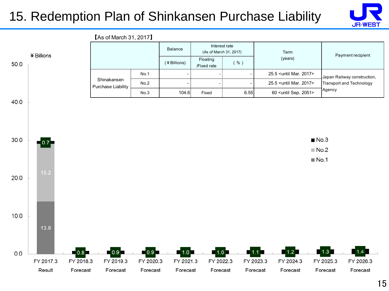### 15. Redemption Plan of Shinkansen Purchase Liability